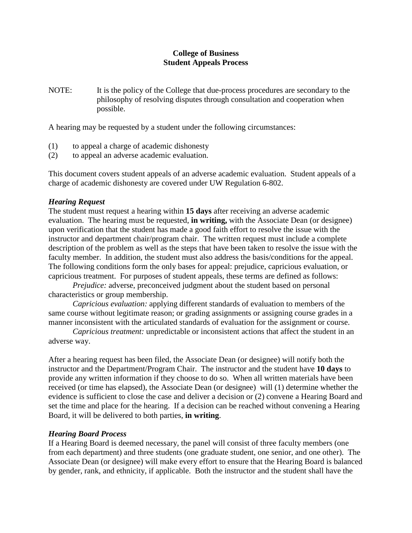## **College of Business Student Appeals Process**

NOTE: It is the policy of the College that due-process procedures are secondary to the philosophy of resolving disputes through consultation and cooperation when possible.

A hearing may be requested by a student under the following circumstances:

- (1) to appeal a charge of academic dishonesty
- (2) to appeal an adverse academic evaluation.

This document covers student appeals of an adverse academic evaluation. Student appeals of a charge of academic dishonesty are covered under UW Regulation 6-802.

## *Hearing Request*

The student must request a hearing within **15 days** after receiving an adverse academic evaluation. The hearing must be requested, **in writing,** with the Associate Dean (or designee) upon verification that the student has made a good faith effort to resolve the issue with the instructor and department chair/program chair. The written request must include a complete description of the problem as well as the steps that have been taken to resolve the issue with the faculty member. In addition, the student must also address the basis/conditions for the appeal. The following conditions form the only bases for appeal: prejudice, capricious evaluation, or capricious treatment. For purposes of student appeals, these terms are defined as follows:

*Prejudice:* adverse, preconceived judgment about the student based on personal characteristics or group membership.

*Capricious evaluation:* applying different standards of evaluation to members of the same course without legitimate reason; or grading assignments or assigning course grades in a manner inconsistent with the articulated standards of evaluation for the assignment or course.

*Capricious treatment:* unpredictable or inconsistent actions that affect the student in an adverse way.

After a hearing request has been filed, the Associate Dean (or designee) will notify both the instructor and the Department/Program Chair. The instructor and the student have **10 days** to provide any written information if they choose to do so. When all written materials have been received (or time has elapsed), the Associate Dean (or designee) will (1) determine whether the evidence is sufficient to close the case and deliver a decision or (2) convene a Hearing Board and set the time and place for the hearing. If a decision can be reached without convening a Hearing Board, it will be delivered to both parties, **in writing**.

## *Hearing Board Process*

If a Hearing Board is deemed necessary, the panel will consist of three faculty members (one from each department) and three students (one graduate student, one senior, and one other). The Associate Dean (or designee) will make every effort to ensure that the Hearing Board is balanced by gender, rank, and ethnicity, if applicable. Both the instructor and the student shall have the